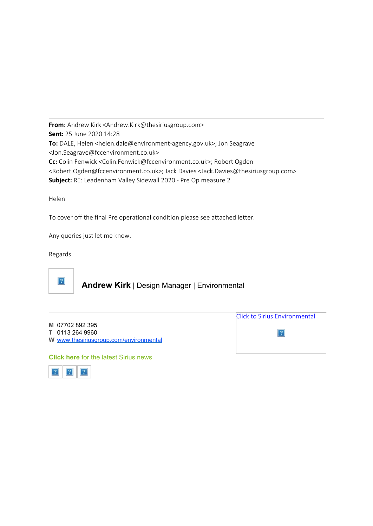**From:** Andrew Kirk <Andrew.Kirk@thesiriusgroup.com> **Sent:** 25 June 2020 14:28 **To:** DALE, Helen <helen.dale@environment-agency.gov.uk>; Jon Seagrave <Jon.Seagrave@fccenvironment.co.uk> **Cc:** Colin Fenwick <Colin.Fenwick@fccenvironment.co.uk>; Robert Ogden <Robert.Ogden@fccenvironment.co.uk>; Jack Davies <Jack.Davies@thesiriusgroup.com> **Subject:** RE: Leadenham Valley Sidewall 2020 - Pre Op measure 2

Helen

To cover off the final Pre operational condition please see attached letter.

Any queries just let me know.

Regards



# **Andrew Kirk** | Design Manager | Environmental

|                                        | Click to Sirius Environmental |
|----------------------------------------|-------------------------------|
| M 07702 892 395                        |                               |
| T 0113 264 9960                        |                               |
| W www.thesiriusgroup.com/environmental |                               |
|                                        |                               |
| Cliek have far the letest Cirius nous  |                               |

**Click here** [for the latest Sirius news](http://www.thesiriusgroup.com/news/)

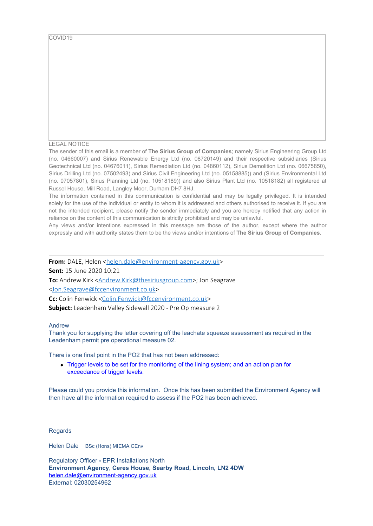COVID19

#### LEGAL NOTICE

The sender of this email is a member of **The Sirius Group of Companies**; namely Sirius Engineering Group Ltd (no. 04660007) and Sirius Renewable Energy Ltd (no. 08720149) and their respective subsidiaries (Sirius Geotechnical Ltd (no. 04676011), Sirius Remediation Ltd (no. 04860112), Sirius Demolition Ltd (no. 06675850), Sirius Drilling Ltd (no. 07502493) and Sirius Civil Engineering Ltd (no. 05158885)) and (Sirius Environmental Ltd (no. 07057801), Sirius Planning Ltd (no. 10518189)) and also Sirius Plant Ltd (no. 10518182) all registered at Russel House, Mill Road, Langley Moor, Durham DH7 8HJ.

The information contained in this communication is confidential and may be legally privileged. It is intended solely for the use of the individual or entity to whom it is addressed and others authorised to receive it. If you are not the intended recipient, please notify the sender immediately and you are hereby notified that any action in reliance on the content of this communication is strictly prohibited and may be unlawful.

Any views and/or intentions expressed in this message are those of the author, except where the author expressly and with authority states them to be the views and/or intentions of **The Sirius Group of Companies**.

**From:** DALE, Helen <[helen.dale@environment-agency.gov.uk](mailto:helen.dale@environment-agency.gov.uk)>

**Sent:** 15 June 2020 10:21

**To:** Andrew Kirk <**Andrew.Kirk@thesiriusgroup.com>**; Jon Seagrave

[<Jon.Seagrave@fccenvironment.co.uk](mailto:Jon.Seagrave@fccenvironment.co.uk)>

**Cc:** Colin Fenwick [<Colin.Fenwick@fccenvironment.co.uk>](mailto:Colin.Fenwick@fccenvironment.co.uk)

**Subject:** Leadenham Valley Sidewall 2020 - Pre Op measure 2

#### Andrew

Thank you for supplying the letter covering off the leachate squeeze assessment as required in the Leadenham permit pre operational measure 02.

There is one final point in the PO2 that has not been addressed:

Trigger levels to be set for the monitoring of the lining system; and an action plan for exceedance of trigger levels.

Please could you provide this information. Once this has been submitted the Environment Agency will then have all the information required to assess if the PO2 has been achieved.

Regards

Helen Dale BSc (Hons) MIEMA CEnv

Regulatory Officer **-** EPR Installations North **Environment Agency**, **Ceres House, Searby Road, Lincoln, LN2 4DW** [helen.dale@environment-agency.gov.uk](mailto:helen.woodall@environment-agency.gov.uk) External: 02030254962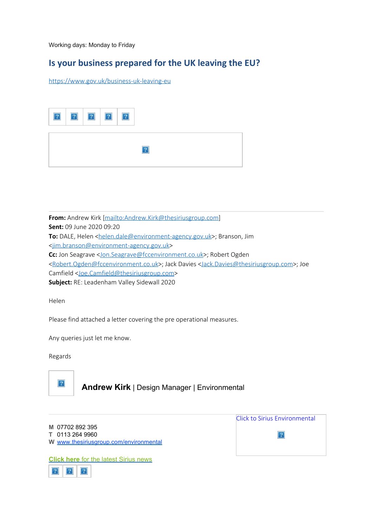Working days: Monday to Friday

# **Is your business prepared for the UK leaving the EU?**

<https://www.gov.uk/business-uk-leaving-eu>

**From:** Andrew Kirk [\[mailto:Andrew.Kirk@thesiriusgroup.com](mailto:Andrew.Kirk@thesiriusgroup.com)] **Sent:** 09 June 2020 09:20 To: DALE, Helen [<helen.dale@environment-agency.gov.uk](mailto:helen.dale@environment-agency.gov.uk)>; Branson, Jim [<jim.branson@environment-agency.gov.uk](mailto:jim.branson@environment-agency.gov.uk)> **Cc:** Jon Seagrave [<Jon.Seagrave@fccenvironment.co.uk](mailto:Jon.Seagrave@fccenvironment.co.uk)>; Robert Ogden [<Robert.Ogden@fccenvironment.co.uk](mailto:Robert.Ogden@fccenvironment.co.uk)>; Jack Davies [<Jack.Davies@thesiriusgroup.com](mailto:Jack.Davies@thesiriusgroup.com)>; Joe Camfield [<Joe.Camfield@thesiriusgroup.com](mailto:Joe.Camfield@thesiriusgroup.com)> **Subject:** RE: Leadenham Valley Sidewall 2020

Helen

Please find attached a letter covering the pre operational measures.

Any queries just let me know.

Regards



## **Andrew Kirk** | Design Manager | Environmental

|                                        | <b>Click to Sirius Environmental</b> |
|----------------------------------------|--------------------------------------|
| M 07702 892 395                        |                                      |
| T 0113 264 9960                        |                                      |
| W www.thesiriusgroup.com/environmental |                                      |
|                                        |                                      |

**Click here** [for the latest Sirius news](http://www.thesiriusgroup.com/news/)

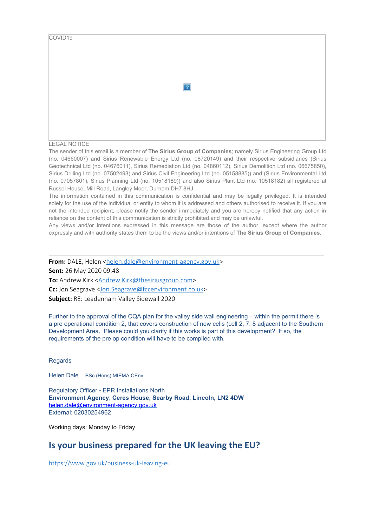| COVID19 |                |  |
|---------|----------------|--|
|         | $\overline{?}$ |  |
|         |                |  |

#### LEGAL NOTICE

The sender of this email is a member of **The Sirius Group of Companies**; namely Sirius Engineering Group Ltd (no. 04660007) and Sirius Renewable Energy Ltd (no. 08720149) and their respective subsidiaries (Sirius Geotechnical Ltd (no. 04676011), Sirius Remediation Ltd (no. 04860112), Sirius Demolition Ltd (no. 06675850), Sirius Drilling Ltd (no. 07502493) and Sirius Civil Engineering Ltd (no. 05158885)) and (Sirius Environmental Ltd (no. 07057801), Sirius Planning Ltd (no. 10518189)) and also Sirius Plant Ltd (no. 10518182) all registered at Russel House, Mill Road, Langley Moor, Durham DH7 8HJ.

The information contained in this communication is confidential and may be legally privileged. It is intended solely for the use of the individual or entity to whom it is addressed and others authorised to receive it. If you are not the intended recipient, please notify the sender immediately and you are hereby notified that any action in reliance on the content of this communication is strictly prohibited and may be unlawful.

Any views and/or intentions expressed in this message are those of the author, except where the author expressly and with authority states them to be the views and/or intentions of **The Sirius Group of Companies**.

**From:** DALE, Helen <[helen.dale@environment-agency.gov.uk](mailto:helen.dale@environment-agency.gov.uk)>

**Sent:** 26 May 2020 09:48

To: Andrew Kirk [<Andrew.Kirk@thesiriusgroup.com](mailto:Andrew.Kirk@thesiriusgroup.com)>

**Cc:** Jon Seagrave [<Jon.Seagrave@fccenvironment.co.uk](mailto:Jon.Seagrave@fccenvironment.co.uk)>

**Subject:** RE: Leadenham Valley Sidewall 2020

Further to the approval of the CQA plan for the valley side wall engineering – within the permit there is a pre operational condition 2, that covers construction of new cells (cell 2, 7, 8 adjacent to the Southern Development Area. Please could you clarify if this works is part of this development? If so, the requirements of the pre op condition will have to be complied with.

Regards

Helen Dale BSc (Hons) MIEMA CEnv

Regulatory Officer **-** EPR Installations North **Environment Agency**, **Ceres House, Searby Road, Lincoln, LN2 4DW** [helen.dale@environment-agency.gov.uk](mailto:helen.woodall@environment-agency.gov.uk) External: 02030254962

Working days: Monday to Friday

## **Is your business prepared for the UK leaving the EU?**

<https://www.gov.uk/business-uk-leaving-eu>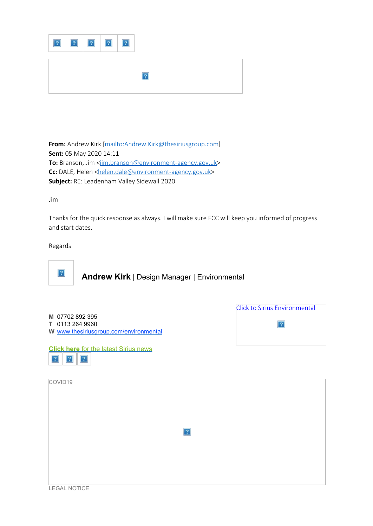**From:** Andrew Kirk [\[mailto:Andrew.Kirk@thesiriusgroup.com](mailto:Andrew.Kirk@thesiriusgroup.com)] **Sent:** 05 May 2020 14:11 To: Branson, Jim [<jim.branson@environment-agency.gov.uk](mailto:jim.branson@environment-agency.gov.uk)> **Cc:** DALE, Helen [<helen.dale@environment-agency.gov.uk](mailto:helen.dale@environment-agency.gov.uk)> **Subject:** RE: Leadenham Valley Sidewall 2020

Jim

Thanks for the quick response as always. I will make sure FCC will keep you informed of progress and start dates.

Regards



 $|2|$ 

 $\boxed{?}$ 

 $|2|$ 

**Andrew Kirk** | Design Manager | Environmental

|                                                                              | Click to Sirius Environmental |
|------------------------------------------------------------------------------|-------------------------------|
| M 07702 892 395<br>T 0113 264 9960<br>W www.thesiriusgroup.com/environmental |                               |
| <b>Click here</b> for the latest Sirius news                                 |                               |

| COVID19 |             |
|---------|-------------|
|         |             |
|         |             |
|         |             |
|         |             |
|         |             |
|         |             |
|         |             |
|         |             |
|         |             |
|         |             |
|         |             |
|         |             |
|         |             |
|         |             |
|         |             |
|         |             |
|         |             |
|         | $\boxed{?}$ |
|         |             |
|         |             |
|         |             |
|         |             |
|         |             |
|         |             |
|         |             |
|         |             |
|         |             |
|         |             |
|         |             |
|         |             |
|         |             |
|         |             |
|         |             |
|         |             |
|         |             |
|         |             |
|         |             |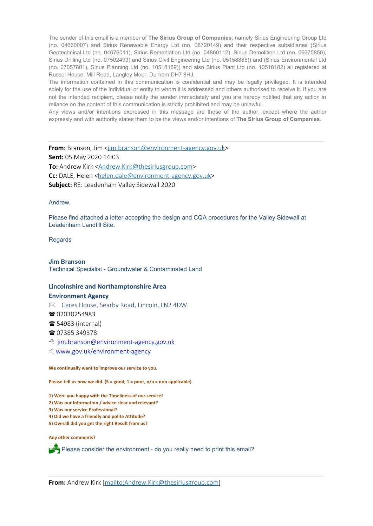The sender of this email is a member of **The Sirius Group of Companies**; namely Sirius Engineering Group Ltd (no. 04660007) and Sirius Renewable Energy Ltd (no. 08720149) and their respective subsidiaries (Sirius Geotechnical Ltd (no. 04676011), Sirius Remediation Ltd (no. 04860112), Sirius Demolition Ltd (no. 06675850), Sirius Drilling Ltd (no. 07502493) and Sirius Civil Engineering Ltd (no. 05158885)) and (Sirius Environmental Ltd (no. 07057801), Sirius Planning Ltd (no. 10518189)) and also Sirius Plant Ltd (no. 10518182) all registered at Russel House, Mill Road, Langley Moor, Durham DH7 8HJ.

The information contained in this communication is confidential and may be legally privileged. It is intended solely for the use of the individual or entity to whom it is addressed and others authorised to receive it. If you are not the intended recipient, please notify the sender immediately and you are hereby notified that any action in reliance on the content of this communication is strictly prohibited and may be unlawful.

Any views and/or intentions expressed in this message are those of the author, except where the author expressly and with authority states them to be the views and/or intentions of **The Sirius Group of Companies**.

**From:** Branson, Jim <[jim.branson@environment-agency.gov.uk](mailto:jim.branson@environment-agency.gov.uk)> **Sent:** 05 May 2020 14:03 **To:** Andrew Kirk [<Andrew.Kirk@thesiriusgroup.com](mailto:Andrew.Kirk@thesiriusgroup.com)> **Cc:** DALE, Helen [<helen.dale@environment-agency.gov.uk](mailto:helen.dale@environment-agency.gov.uk)> **Subject:** RE: Leadenham Valley Sidewall 2020

Andrew,

Please find attached a letter accepting the design and CQA procedures for the Valley Sidewall at Leadenham Landfill Site.

Regards

#### **Jim Branson**

Technical Specialist - Groundwater & Contaminated Land

# **Lincolnshire and Northamptonshire Area**

#### **Environment Agency**

 $\boxtimes$  Ceres House, Searby Road, Lincoln, LN2 4DW.

■ 02030254983

**■ 54983 (internal)** 

■ 07385 349378

8 [jim.branson@environment-agency.gov.uk](http://www.gov.uk/environment-agency)

<sup></sub><sup>8</sup> [www.gov.uk/environment-agency](http://www.gov.uk/environment-agency)</sup>

#### **We continually want to improve our service to you.**

**Please tell us how we did. (5 = good, 1 = poor, n/a = non applicable)**

**1) Were you happy with the Timeliness of our service?**

- **2) Was our Information / advice clear and relevant?**
- **3) Was our service Professional?**
- **4) Did we have a friendly and polite Attitude?**
- **5) Overall did you get the right Result from us?**

**Any other comments?**

 $\triangle$  Please consider the environment - do you really need to print this email?

**From:** Andrew Kirk [\[mailto:Andrew.Kirk@thesiriusgroup.com](mailto:Andrew.Kirk@thesiriusgroup.com)]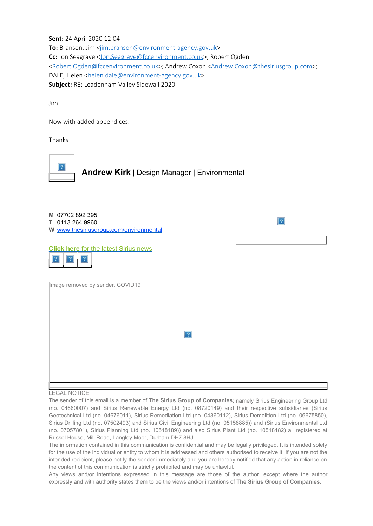**Sent:** 24 April 2020 12:04

**To:** Branson, Jim [<jim.branson@environment-agency.gov.uk](mailto:jim.branson@environment-agency.gov.uk)> Cc: Jon Seagrave < Jon. Seagrave@fccenvironment.co.uk>; Robert Ogden [<Robert.Ogden@fccenvironment.co.uk](mailto:Robert.Ogden@fccenvironment.co.uk)>; Andrew Coxon <[Andrew.Coxon@thesiriusgroup.com](mailto:Andrew.Coxon@thesiriusgroup.com)>; DALE, Helen [<helen.dale@environment-agency.gov.uk](mailto:helen.dale@environment-agency.gov.uk)> **Subject:** RE: Leadenham Valley Sidewall 2020

Jim

Now with added appendices.

Thanks





### **Click here** [for the latest Sirius news](http://www.thesiriusgroup.com/news/)

|--|

| Image removed by sender. COVID19 |  |
|----------------------------------|--|
|                                  |  |
|                                  |  |
|                                  |  |
|                                  |  |
|                                  |  |
|                                  |  |
|                                  |  |
|                                  |  |
|                                  |  |
|                                  |  |
|                                  |  |
|                                  |  |
|                                  |  |
|                                  |  |
|                                  |  |
|                                  |  |
|                                  |  |
|                                  |  |
|                                  |  |
|                                  |  |
|                                  |  |
|                                  |  |
|                                  |  |
|                                  |  |

#### LEGAL NOTICE

The sender of this email is a member of **The Sirius Group of Companies**; namely Sirius Engineering Group Ltd (no. 04660007) and Sirius Renewable Energy Ltd (no. 08720149) and their respective subsidiaries (Sirius Geotechnical Ltd (no. 04676011), Sirius Remediation Ltd (no. 04860112), Sirius Demolition Ltd (no. 06675850), Sirius Drilling Ltd (no. 07502493) and Sirius Civil Engineering Ltd (no. 05158885)) and (Sirius Environmental Ltd (no. 07057801), Sirius Planning Ltd (no. 10518189)) and also Sirius Plant Ltd (no. 10518182) all registered at Russel House, Mill Road, Langley Moor, Durham DH7 8HJ.

The information contained in this communication is confidential and may be legally privileged. It is intended solely for the use of the individual or entity to whom it is addressed and others authorised to receive it. If you are not the intended recipient, please notify the sender immediately and you are hereby notified that any action in reliance on the content of this communication is strictly prohibited and may be unlawful.

Any views and/or intentions expressed in this message are those of the author, except where the author expressly and with authority states them to be the views and/or intentions of **The Sirius Group of Companies**.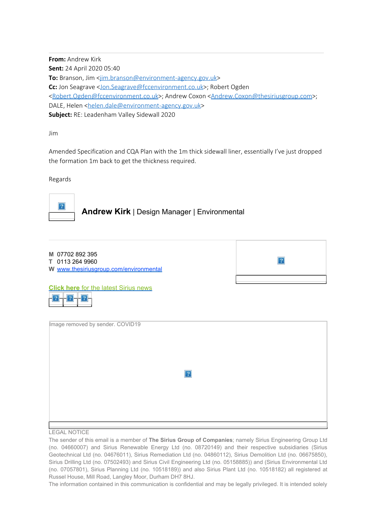**From:** Andrew Kirk **Sent:** 24 April 2020 05:40 **To:** Branson, Jim [<jim.branson@environment-agency.gov.uk](mailto:jim.branson@environment-agency.gov.uk)> **Cc:** Jon Seagrave [<Jon.Seagrave@fccenvironment.co.uk](mailto:Jon.Seagrave@fccenvironment.co.uk)>; Robert Ogden [<Robert.Ogden@fccenvironment.co.uk](mailto:Robert.Ogden@fccenvironment.co.uk)>; Andrew Coxon <[Andrew.Coxon@thesiriusgroup.com](mailto:Andrew.Coxon@thesiriusgroup.com)>; DALE, Helen [<helen.dale@environment-agency.gov.uk](mailto:helen.dale@environment-agency.gov.uk)> **Subject:** RE: Leadenham Valley Sidewall 2020

Jim

Amended Specification and CQA Plan with the 1m thick sidewall liner, essentially I've just dropped the formation 1m back to get the thickness required.

Regards



### **Andrew Kirk** | Design Manager | Environmental

| M 07702 892 395<br>T 0113 264 9960<br>W www.thesiriusgroup.com/environmental | $\overline{?}$ |
|------------------------------------------------------------------------------|----------------|
| <b>Click here for the latest Sirius news</b><br>$\overline{?}$               |                |
| Image removed by sender. COVID19                                             |                |
| $\overline{?}$                                                               |                |
|                                                                              |                |

#### LEGAL NOTICE

The sender of this email is a member of **The Sirius Group of Companies**; namely Sirius Engineering Group Ltd (no. 04660007) and Sirius Renewable Energy Ltd (no. 08720149) and their respective subsidiaries (Sirius Geotechnical Ltd (no. 04676011), Sirius Remediation Ltd (no. 04860112), Sirius Demolition Ltd (no. 06675850), Sirius Drilling Ltd (no. 07502493) and Sirius Civil Engineering Ltd (no. 05158885)) and (Sirius Environmental Ltd (no. 07057801), Sirius Planning Ltd (no. 10518189)) and also Sirius Plant Ltd (no. 10518182) all registered at Russel House, Mill Road, Langley Moor, Durham DH7 8HJ.

The information contained in this communication is confidential and may be legally privileged. It is intended solely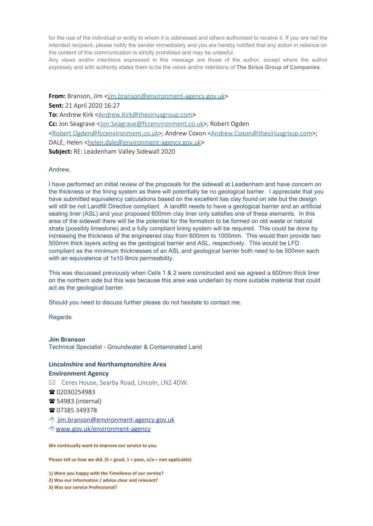for the use of the individual or entity to whom it is addressed and others authorised to receive it. If you are not the intended recipient, please notify the sender immediately and you are hereby notified that any action in reliance on the content of this communication is strictly prohibited and may be unlawful.

Any views and/or intentions expressed in this message are those of the author, except where the author expressly and with authority states them to be the views and/or intentions of **The Sirius Group of Companies**.

**From:** Branson, Jim <iim.branson@environment-agency.gov.uk> **Sent:** 21 April 2020 16:27 To: Andrew Kirk [<Andrew.Kirk@thesiriusgroup.com](mailto:Andrew.Kirk@thesiriusgroup.com)> **Cc:** Jon Seagrave <**Jon.Seagrave@fccenvironment.co.uk>**; Robert Ogden [<Robert.Ogden@fccenvironment.co.uk](mailto:Robert.Ogden@fccenvironment.co.uk)>; Andrew Coxon <[Andrew.Coxon@thesiriusgroup.com](mailto:Andrew.Coxon@thesiriusgroup.com)>; DALE, Helen [<helen.dale@environment-agency.gov.uk](mailto:helen.dale@environment-agency.gov.uk)> **Subject:** RE: Leadenham Valley Sidewall 2020

#### Andrew,

I have performed an initial review of the proposals for the sidewall at Leadenham and have concern on the thickness or the lining system as there will potentially be no geological barrier. I appreciate that you have submitted equivalency calculations based on the excellent lias clay found on site but the design will still be not Landfill Directive compliant. A landfill needs to have a geological barrier and an artificial sealing liner (ASL) and your proposed 600mm clay liner only satisfies one of these elements. In this area of the sidewall there will be the potential for the formation to be formed on old waste or natural strata (possibly limestone) and a fully compliant lining system will be required. This could be done by increasing the thickness of the engineered clay from 600mm to 1000mm. This would then provide two 500mm thick layers acting as the geological barrier and ASL, respectively. This would be LFD compliant as the minimum thicknesses of an ASL and geological barrier both need to be 500mm each with an equivalence of 1x10-9m/s permeability.

This was discussed previously when Cells 1 & 2 were constructed and we agreed a 600mm thick liner on the northern side but this was because this area was underlain by more suitable material that could act as the geological barrier.

Should you need to discuss further please do not hesitate to contact me.

**Regards** 

#### **Jim Branson**

Technical Specialist - Groundwater & Contaminated Land

### **Lincolnshire and Northamptonshire Area Environment Agency**

- $\boxtimes$  Ceres House, Searby Road, Lincoln, LN2 4DW.
- 02030254983
- **54983 (internal)**
- 1 07385 349378
- <sup></sub><sup>8</sup> [jim.branson@environment-agency.gov.uk](http://www.gov.uk/environment-agency)</sup>
- <sup>•</sup> [www.gov.uk/environment-agency](http://www.gov.uk/environment-agency)

**We continually want to improve our service to you.**

**Please tell us how we did. (5 = good, 1 = poor, n/a = non applicable)**

**1) Were you happy with the Timeliness of our service?**

- **2) Was our Information / advice clear and relevant?**
- **3) Was our service Professional?**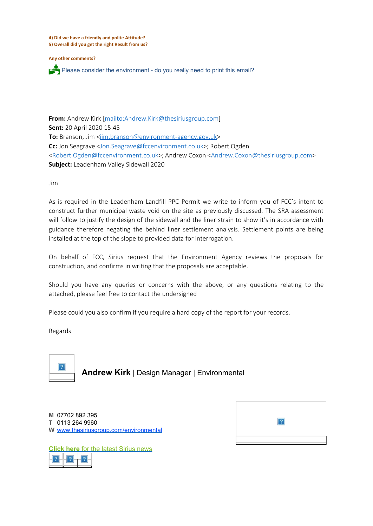**4) Did we have a friendly and polite Attitude? 5) Overall did you get the right Result from us?**

**Any other comments?**

Please consider the environment - do you really need to print this email?

**From:** Andrew Kirk [\[mailto:Andrew.Kirk@thesiriusgroup.com](mailto:Andrew.Kirk@thesiriusgroup.com)] **Sent:** 20 April 2020 15:45 **To:** Branson, Jim [<jim.branson@environment-agency.gov.uk](mailto:jim.branson@environment-agency.gov.uk)> **Cc:** Jon Seagrave [<Jon.Seagrave@fccenvironment.co.uk](mailto:Jon.Seagrave@fccenvironment.co.uk)>; Robert Ogden [<Robert.Ogden@fccenvironment.co.uk](mailto:Robert.Ogden@fccenvironment.co.uk)>; Andrew Coxon <[Andrew.Coxon@thesiriusgroup.com](mailto:Andrew.Coxon@thesiriusgroup.com)> **Subject:** Leadenham Valley Sidewall 2020

Jim

As is required in the Leadenham Landfill PPC Permit we write to inform you of FCC's intent to construct further municipal waste void on the site as previously discussed. The SRA assessment will follow to justify the design of the sidewall and the liner strain to show it's in accordance with guidance therefore negating the behind liner settlement analysis. Settlement points are being installed at the top of the slope to provided data for interrogation.

On behalf of FCC, Sirius request that the Environment Agency reviews the proposals for construction, and confirms in writing that the proposals are acceptable.

Should you have any queries or concerns with the above, or any questions relating to the attached, please feel free to contact the undersigned

Please could you also confirm if you require a hard copy of the report for your records.

Regards



### **Andrew Kirk** | Design Manager | Environmental

| M 07702 892 395<br>T 0113 264 9960<br>W www.thesiriusgroup.com/environmental |  |
|------------------------------------------------------------------------------|--|
|                                                                              |  |
|                                                                              |  |

**Click here** [for the latest Sirius news](http://www.thesiriusgroup.com/news/)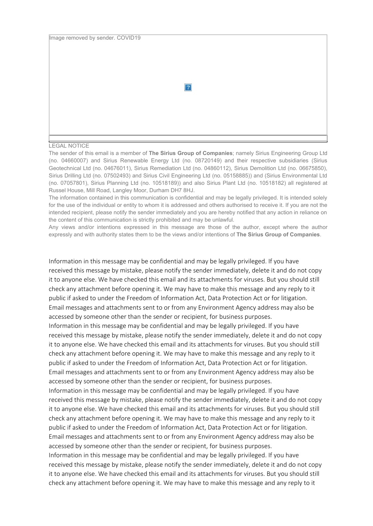$|2|$ 

#### LEGAL NOTICE

The sender of this email is a member of **The Sirius Group of Companies**; namely Sirius Engineering Group Ltd (no. 04660007) and Sirius Renewable Energy Ltd (no. 08720149) and their respective subsidiaries (Sirius Geotechnical Ltd (no. 04676011), Sirius Remediation Ltd (no. 04860112), Sirius Demolition Ltd (no. 06675850), Sirius Drilling Ltd (no. 07502493) and Sirius Civil Engineering Ltd (no. 05158885)) and (Sirius Environmental Ltd (no. 07057801), Sirius Planning Ltd (no. 10518189)) and also Sirius Plant Ltd (no. 10518182) all registered at Russel House, Mill Road, Langley Moor, Durham DH7 8HJ.

The information contained in this communication is confidential and may be legally privileged. It is intended solely for the use of the individual or entity to whom it is addressed and others authorised to receive it. If you are not the intended recipient, please notify the sender immediately and you are hereby notified that any action in reliance on the content of this communication is strictly prohibited and may be unlawful.

Any views and/or intentions expressed in this message are those of the author, except where the author expressly and with authority states them to be the views and/or intentions of **The Sirius Group of Companies**.

Information in this message may be confidential and may be legally privileged. If you have received this message by mistake, please notify the sender immediately, delete it and do not copy it to anyone else. We have checked this email and its attachments for viruses. But you should still check any attachment before opening it. We may have to make this message and any reply to it public if asked to under the Freedom of Information Act, Data Protection Act or for litigation. Email messages and attachments sent to or from any Environment Agency address may also be accessed by someone other than the sender or recipient, for business purposes. Information in this message may be confidential and may be legally privileged. If you have received this message by mistake, please notify the sender immediately, delete it and do not copy it to anyone else. We have checked this email and its attachments for viruses. But you should still check any attachment before opening it. We may have to make this message and any reply to it public if asked to under the Freedom of Information Act, Data Protection Act or for litigation. Email messages and attachments sent to or from any Environment Agency address may also be accessed by someone other than the sender or recipient, for business purposes. Information in this message may be confidential and may be legally privileged. If you have received this message by mistake, please notify the sender immediately, delete it and do not copy

it to anyone else. We have checked this email and its attachments for viruses. But you should still check any attachment before opening it. We may have to make this message and any reply to it public if asked to under the Freedom of Information Act, Data Protection Act or for litigation. Email messages and attachments sent to or from any Environment Agency address may also be accessed by someone other than the sender or recipient, for business purposes.

Information in this message may be confidential and may be legally privileged. If you have received this message by mistake, please notify the sender immediately, delete it and do not copy it to anyone else. We have checked this email and its attachments for viruses. But you should still check any attachment before opening it. We may have to make this message and any reply to it